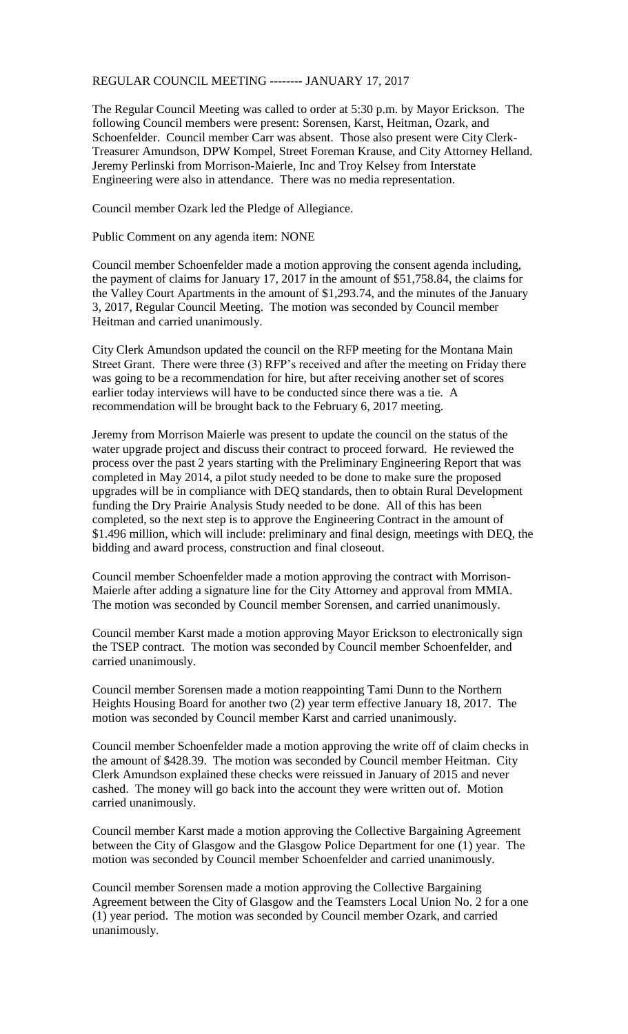## REGULAR COUNCIL MEETING -------- JANUARY 17, 2017

The Regular Council Meeting was called to order at 5:30 p.m. by Mayor Erickson. The following Council members were present: Sorensen, Karst, Heitman, Ozark, and Schoenfelder. Council member Carr was absent. Those also present were City Clerk-Treasurer Amundson, DPW Kompel, Street Foreman Krause, and City Attorney Helland. Jeremy Perlinski from Morrison-Maierle, Inc and Troy Kelsey from Interstate Engineering were also in attendance. There was no media representation.

Council member Ozark led the Pledge of Allegiance.

Public Comment on any agenda item: NONE

Council member Schoenfelder made a motion approving the consent agenda including, the payment of claims for January 17, 2017 in the amount of \$51,758.84, the claims for the Valley Court Apartments in the amount of \$1,293.74, and the minutes of the January 3, 2017, Regular Council Meeting. The motion was seconded by Council member Heitman and carried unanimously.

City Clerk Amundson updated the council on the RFP meeting for the Montana Main Street Grant. There were three (3) RFP's received and after the meeting on Friday there was going to be a recommendation for hire, but after receiving another set of scores earlier today interviews will have to be conducted since there was a tie. A recommendation will be brought back to the February 6, 2017 meeting.

Jeremy from Morrison Maierle was present to update the council on the status of the water upgrade project and discuss their contract to proceed forward. He reviewed the process over the past 2 years starting with the Preliminary Engineering Report that was completed in May 2014, a pilot study needed to be done to make sure the proposed upgrades will be in compliance with DEQ standards, then to obtain Rural Development funding the Dry Prairie Analysis Study needed to be done. All of this has been completed, so the next step is to approve the Engineering Contract in the amount of \$1.496 million, which will include: preliminary and final design, meetings with DEQ, the bidding and award process, construction and final closeout.

Council member Schoenfelder made a motion approving the contract with Morrison-Maierle after adding a signature line for the City Attorney and approval from MMIA. The motion was seconded by Council member Sorensen, and carried unanimously.

Council member Karst made a motion approving Mayor Erickson to electronically sign the TSEP contract. The motion was seconded by Council member Schoenfelder, and carried unanimously.

Council member Sorensen made a motion reappointing Tami Dunn to the Northern Heights Housing Board for another two (2) year term effective January 18, 2017. The motion was seconded by Council member Karst and carried unanimously.

Council member Schoenfelder made a motion approving the write off of claim checks in the amount of \$428.39. The motion was seconded by Council member Heitman. City Clerk Amundson explained these checks were reissued in January of 2015 and never cashed. The money will go back into the account they were written out of. Motion carried unanimously.

Council member Karst made a motion approving the Collective Bargaining Agreement between the City of Glasgow and the Glasgow Police Department for one (1) year. The motion was seconded by Council member Schoenfelder and carried unanimously.

Council member Sorensen made a motion approving the Collective Bargaining Agreement between the City of Glasgow and the Teamsters Local Union No. 2 for a one (1) year period. The motion was seconded by Council member Ozark, and carried unanimously.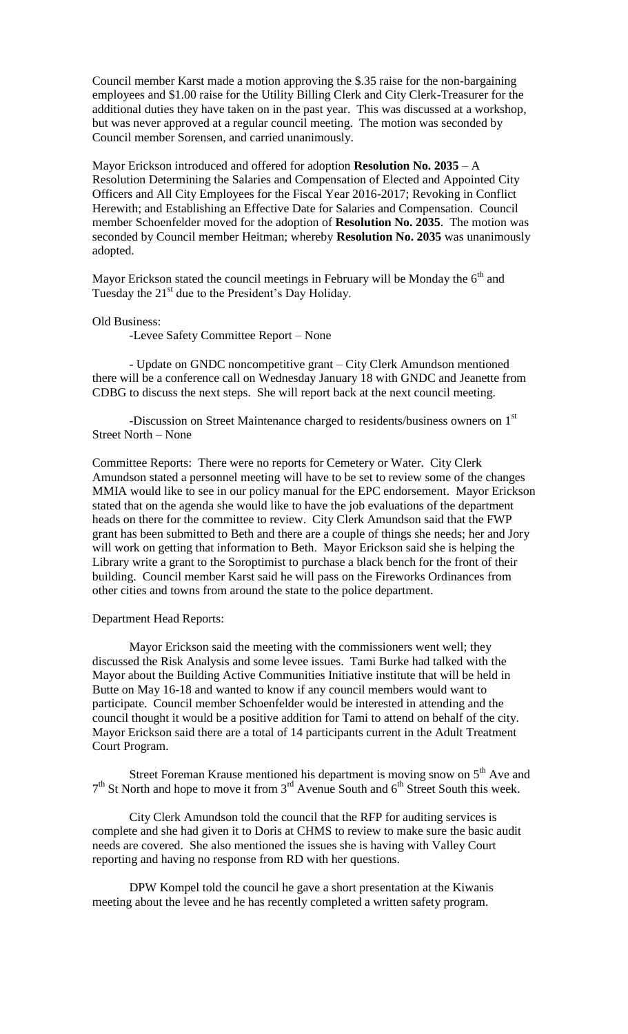Council member Karst made a motion approving the \$.35 raise for the non-bargaining employees and \$1.00 raise for the Utility Billing Clerk and City Clerk-Treasurer for the additional duties they have taken on in the past year. This was discussed at a workshop, but was never approved at a regular council meeting. The motion was seconded by Council member Sorensen, and carried unanimously.

Mayor Erickson introduced and offered for adoption **Resolution No. 2035** – A Resolution Determining the Salaries and Compensation of Elected and Appointed City Officers and All City Employees for the Fiscal Year 2016-2017; Revoking in Conflict Herewith; and Establishing an Effective Date for Salaries and Compensation. Council member Schoenfelder moved for the adoption of **Resolution No. 2035**. The motion was seconded by Council member Heitman; whereby **Resolution No. 2035** was unanimously adopted.

Mayor Erickson stated the council meetings in February will be Monday the  $6<sup>th</sup>$  and Tuesday the  $21<sup>st</sup>$  due to the President's Day Holiday.

## Old Business:

-Levee Safety Committee Report – None

- Update on GNDC noncompetitive grant – City Clerk Amundson mentioned there will be a conference call on Wednesday January 18 with GNDC and Jeanette from CDBG to discuss the next steps. She will report back at the next council meeting.

-Discussion on Street Maintenance charged to residents/business owners on 1<sup>st</sup> Street North – None

Committee Reports: There were no reports for Cemetery or Water. City Clerk Amundson stated a personnel meeting will have to be set to review some of the changes MMIA would like to see in our policy manual for the EPC endorsement. Mayor Erickson stated that on the agenda she would like to have the job evaluations of the department heads on there for the committee to review. City Clerk Amundson said that the FWP grant has been submitted to Beth and there are a couple of things she needs; her and Jory will work on getting that information to Beth. Mayor Erickson said she is helping the Library write a grant to the Soroptimist to purchase a black bench for the front of their building. Council member Karst said he will pass on the Fireworks Ordinances from other cities and towns from around the state to the police department.

## Department Head Reports:

Mayor Erickson said the meeting with the commissioners went well; they discussed the Risk Analysis and some levee issues. Tami Burke had talked with the Mayor about the Building Active Communities Initiative institute that will be held in Butte on May 16-18 and wanted to know if any council members would want to participate. Council member Schoenfelder would be interested in attending and the council thought it would be a positive addition for Tami to attend on behalf of the city. Mayor Erickson said there are a total of 14 participants current in the Adult Treatment Court Program.

Street Foreman Krause mentioned his department is moving snow on  $5<sup>th</sup>$  Ave and  $7<sup>th</sup>$  St North and hope to move it from  $3<sup>rd</sup>$  Avenue South and  $6<sup>th</sup>$  Street South this week.

City Clerk Amundson told the council that the RFP for auditing services is complete and she had given it to Doris at CHMS to review to make sure the basic audit needs are covered. She also mentioned the issues she is having with Valley Court reporting and having no response from RD with her questions.

DPW Kompel told the council he gave a short presentation at the Kiwanis meeting about the levee and he has recently completed a written safety program.